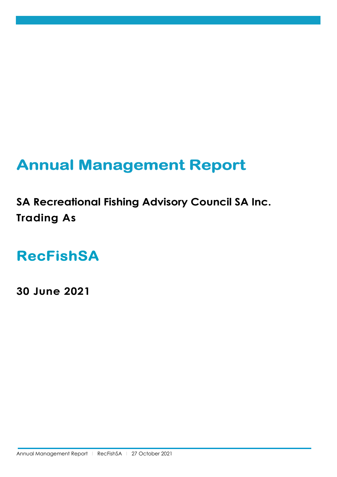# **Annual Management Report**

**SA Recreational Fishing Advisory Council SA Inc. Trading As**

**RecFishSA**

**30 June 2021**

Annual Management Report | RecFishSA | 27 October 2021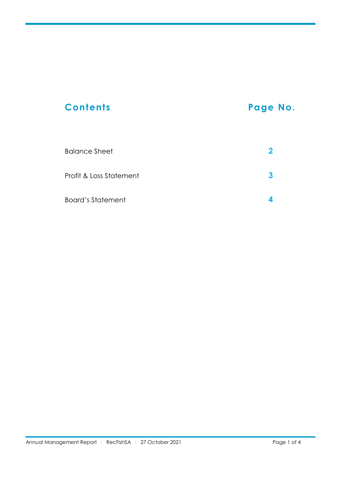# **Contents Page No.** Balance Sheet **2**

| Profit & Loss Statement |  |
|-------------------------|--|
| Board's Statement       |  |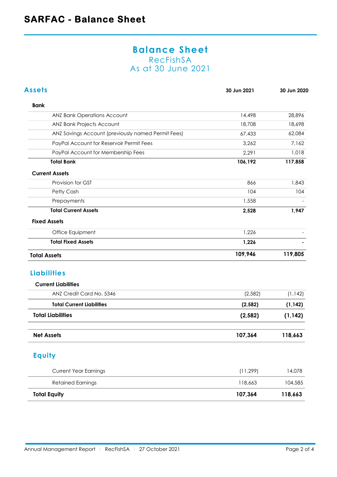#### **Balance Sheet** RecFishSA As at 30 June 2021

| <b>Assets</b>                                      | 30 Jun 2021 | 30 Jun 2020 |
|----------------------------------------------------|-------------|-------------|
| <b>Bank</b>                                        |             |             |
| <b>ANZ Bank Operations Account</b>                 | 14,498      | 28,896      |
| ANZ Bank Projects Account                          | 18,708      | 18,698      |
| ANZ Savings Account (previously named Permit Fees) | 67,433      | 62,084      |
| PayPal Account for Reservoir Permit Fees           | 3,262       | 7,162       |
| PayPal Account for Membership Fees                 | 2,291       | 1,018       |
| <b>Total Bank</b>                                  | 106,192     | 117,858     |
| <b>Current Assets</b>                              |             |             |
| Provision for GST                                  | 866         | 1,843       |
| Petty Cash                                         | 104         | 104         |
| Prepayments                                        | 1,558       |             |
| <b>Total Current Assets</b>                        | 2,528       | 1,947       |
| <b>Fixed Assets</b>                                |             |             |
| Office Equipment                                   | 1,226       |             |
| <b>Total Fixed Assets</b>                          | 1,226       |             |
| <b>Total Assets</b>                                | 109,946     | 119,805     |
| <b>Liabilities</b>                                 |             |             |
| <b>Current Liabilities</b>                         |             |             |
| ANZ Credit Card No. 5346                           | (2, 582)    | (1, 142)    |
| <b>Total Current Liabilities</b>                   | (2, 582)    | (1, 142)    |
| <b>Total Liabilities</b>                           | (2, 582)    | (1, 142)    |
| <b>Net Assets</b>                                  | 107,364     | 118,663     |
| <b>Equity</b>                                      |             |             |
| <b>Current Year Earnings</b>                       | (11, 299)   | 14,078      |
| <b>Retained Earnings</b>                           | 118,663     | 104,585     |
| <b>Total Equity</b>                                | 107,364     | 118,663     |
|                                                    |             |             |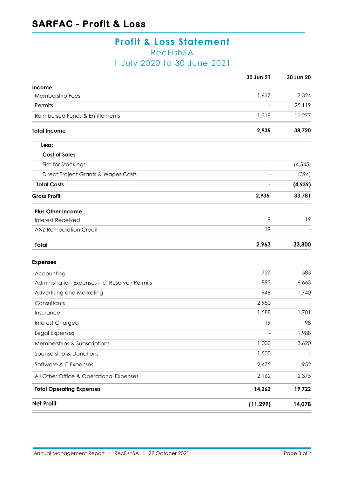### **Profit & Loss Statement** RecFishSA 1 July 2020 to 30 June 2021

|                                                | 30 Jun 21 | 30 Jun 20 |
|------------------------------------------------|-----------|-----------|
| Income                                         |           |           |
| Membership Fees                                | 1,617     | 2,324     |
| Permits                                        |           | 25,119    |
| Reimbursed Funds & Entitlements                | 1,318     | 11,277    |
| <b>Total Income</b>                            | 2,935     | 38,720    |
| Less:                                          |           |           |
| <b>Cost of Sales</b>                           |           |           |
| Fish for Stockings                             |           | (4, 545)  |
| Direct Project Grants & Wages Costs            |           | (394)     |
| <b>Total Costs</b>                             |           | (4,939)   |
| <b>Gross Profit</b>                            | 2,935     | 33,781    |
| <b>Plus Other Income</b>                       |           |           |
| <b>Interest Received</b>                       | 9         | 19        |
| <b>ANZ Remediation Credit</b>                  | 19        |           |
| <b>Total</b>                                   | 2,963     | 33,800    |
| <b>Expenses</b>                                |           |           |
| Accounting                                     | 727       | 585       |
| Administration Expenses inc. Reservoir Permits | 893       | 6,663     |
| Advertising and Marketing                      | 948       | 1,740     |
| Consultants                                    | 2,950     |           |
| Insurance                                      | 1,588     | 1,701     |
| Interest Charged                               | 19        | 98        |
| Legal Expenses                                 |           | 1,988     |
| Memberships & Subscriptions                    | 1,000     | 3,620     |
| Sponsorship & Donations                        | 1,500     |           |
| Software & IT Expenses                         | 2,475     | 952       |
| All Other Office & Operational Expenses        | 2,162     | 2,375     |
| <b>Total Operating Expenses</b>                | 14,262    | 19,722    |
| <b>Net Profit</b>                              | (11, 299) | 14,078    |